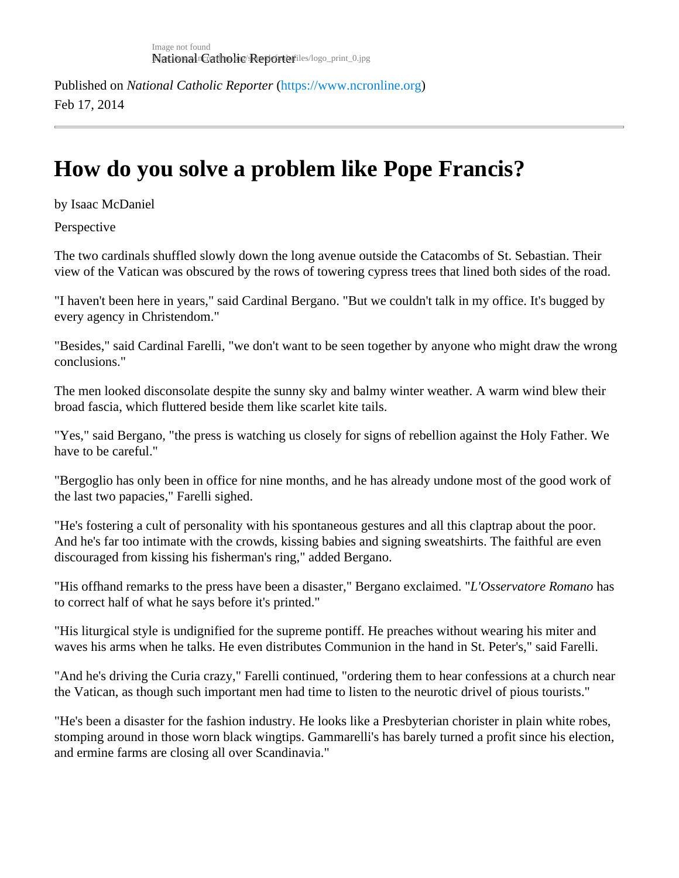Published on National Catholic Repo[r](https://www.ncronline.org)terhttps://www.ncronline.org Feb 17, 2014

## How do you solve a problem like Pope Francis?

by Isaac McDaniel

**Perspective** 

The two cardinals shuffled slowly down the long avenue outside the Catacombs of St. Sebastian. Their view of the Vatican was obscured by the rows of towering cypress trees that lined both sides of the road.

"I haven't been here in years," said Cardinal Bergano. "But we couldn't talk in my office. It's bugged by every agency in Christendom."

"Besides," said Cardinal Farelli, "we don't want to be seen together by anyone who might draw the wrong conclusions."

The men looked disconsolate despite the sunny sky and balmy winter weather. A warm wind blew their broad fascia, which fluttered beside them like scarlet kite tails.

"Yes," said Bergano, "the press is watching us closely for signs of rebellion against the Holy Father. We have to be careful."

"Bergoglio has only been in office for nine months, and he has already undone most of the good work of the last two papacies," Farelli sighed.

"He's fostering a cult of personality with his spontaneous gestures and all this claptrap about the poor. And he's far too intimate with the crowds, kissing babies and signing sweatshirts. The faithful are even discouraged from kissing his fisherman's ring," added Bergano.

"His offhand remarks to the press have been a disaster," Bergano exclail@edervatore Romanices to correct half of what he says before it's printed."

"His liturgical style is undignified for the supreme pontiff. He preaches without wearing his miter and waves his arms when he talks. He even distributes Communion in the hand in St. Peter's," said Farelli.

"And he's driving the Curia crazy," Farelli continued, "ordering them to hear confessions at a church near the Vatican, as though such important men had time to listen to the neurotic drivel of pious tourists."

"He's been a disaster for the fashion industry. He looks like a Presbyterian chorister in plain white robes, stomping around in those worn black wingtips. Gammarelli's has barely turned a profit since his election, and ermine farms are closing all over Scandinavia."